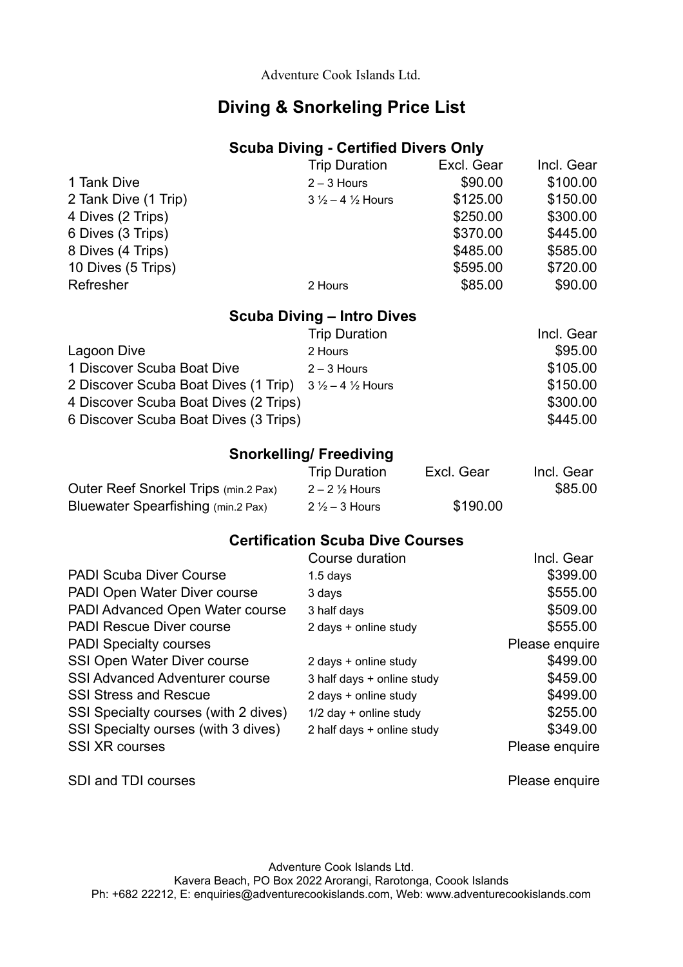Adventure Cook Islands Ltd.

## **Diving & Snorkeling Price List**

### **Scuba Diving - Certified Divers Only**

|                      | <b>Trip Duration</b>                | Excl. Gear | Incl. Gear |
|----------------------|-------------------------------------|------------|------------|
| 1 Tank Dive          | $2 - 3$ Hours                       | \$90.00    | \$100.00   |
| 2 Tank Dive (1 Trip) | $3\frac{1}{2} - 4\frac{1}{2}$ Hours | \$125.00   | \$150.00   |
| 4 Dives (2 Trips)    |                                     | \$250.00   | \$300.00   |
| 6 Dives (3 Trips)    |                                     | \$370.00   | \$445.00   |
| 8 Dives (4 Trips)    |                                     | \$485.00   | \$585.00   |
| 10 Dives (5 Trips)   |                                     | \$595.00   | \$720.00   |
| Refresher            | 2 Hours                             | \$85.00    | \$90.00    |

#### **Scuba Diving – Intro Dives**

|                                                                          | <b>Trip Duration</b> | Incl. Gear |
|--------------------------------------------------------------------------|----------------------|------------|
| Lagoon Dive                                                              | 2 Hours              | \$95.00    |
| 1 Discover Scuba Boat Dive                                               | $2 - 3$ Hours        | \$105.00   |
| 2 Discover Scuba Boat Dives (1 Trip) $3\frac{1}{2} - 4\frac{1}{2}$ Hours |                      | \$150.00   |
| 4 Discover Scuba Boat Dives (2 Trips)                                    |                      | \$300.00   |
| 6 Discover Scuba Boat Dives (3 Trips)                                    |                      | \$445.00   |

### **Snorkelling/ Freediving**

|                                      | <b>Trip Duration</b>     | Excl. Gear | Incl. Gear |
|--------------------------------------|--------------------------|------------|------------|
| Outer Reef Snorkel Trips (min.2 Pax) | $2 - 2\frac{1}{2}$ Hours |            | \$85.00    |
| Bluewater Spearfishing (min.2 Pax)   | $2\frac{1}{2}$ – 3 Hours | \$190.00   |            |

#### **Certification Scuba Dive Courses**

|                                       | Course duration            | Incl. Gear     |
|---------------------------------------|----------------------------|----------------|
| <b>PADI Scuba Diver Course</b>        | $1.5$ days                 | \$399.00       |
| PADI Open Water Diver course          | 3 days                     | \$555.00       |
| PADI Advanced Open Water course       | 3 half days                | \$509.00       |
| <b>PADI Rescue Diver course</b>       | 2 days + online study      | \$555.00       |
| <b>PADI Specialty courses</b>         |                            | Please enquire |
| SSI Open Water Diver course           | 2 days + online study      | \$499.00       |
| <b>SSI Advanced Adventurer course</b> | 3 half days + online study | \$459.00       |
| <b>SSI Stress and Rescue</b>          | 2 days + online study      | \$499.00       |
| SSI Specialty courses (with 2 dives)  | $1/2$ day + online study   | \$255.00       |
| SSI Specialty ourses (with 3 dives)   | 2 half days + online study | \$349.00       |
| <b>SSI XR courses</b>                 |                            | Please enquire |

SDI and TDI courses **Please enquire** 

Adventure Cook Islands Ltd. Kavera Beach, PO Box 2022 Arorangi, Rarotonga, Coook Islands Ph: +682 22212, E: enquiries@adventurecookislands.com, Web: www.adventurecookislands.com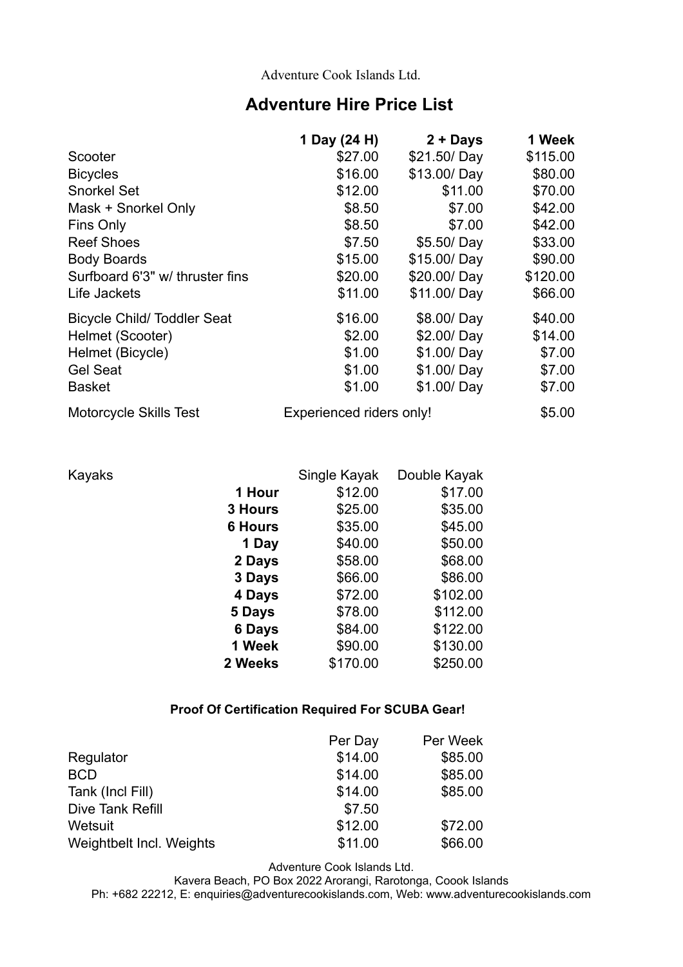Adventure Cook Islands Ltd.

## **Adventure Hire Price List**

|                                   | 1 Day (24 H)             | $2 +$ Days  | 1 Week   |
|-----------------------------------|--------------------------|-------------|----------|
| Scooter                           | \$27.00                  | \$21.50/Day | \$115.00 |
| <b>Bicycles</b>                   | \$16.00                  | \$13.00/Day | \$80.00  |
| <b>Snorkel Set</b>                | \$12.00                  | \$11.00     | \$70.00  |
| Mask + Snorkel Only               | \$8.50                   | \$7.00      | \$42.00  |
| Fins Only                         | \$8.50                   | \$7.00      | \$42.00  |
| <b>Reef Shoes</b>                 | \$7.50                   | \$5.50/Day  | \$33.00  |
| <b>Body Boards</b>                | \$15.00                  | \$15.00/Day | \$90.00  |
| Surfboard 6'3" w/ thruster fins   | \$20.00                  | \$20.00/Day | \$120.00 |
| Life Jackets                      | \$11.00                  | \$11.00/Day | \$66.00  |
| <b>Bicycle Child/Toddler Seat</b> | \$16.00                  | \$8.00/Day  | \$40.00  |
| Helmet (Scooter)                  | \$2.00                   | \$2.00/Day  | \$14.00  |
| Helmet (Bicycle)                  | \$1.00                   | \$1.00/Day  | \$7.00   |
| <b>Gel Seat</b>                   | \$1.00                   | \$1.00/Day  | \$7.00   |
| <b>Basket</b>                     | \$1.00                   | \$1.00/Day  | \$7.00   |
| <b>Motorcycle Skills Test</b>     | Experienced riders only! |             | \$5.00   |

| Kayaks |                | Single Kayak | Double Kayak |
|--------|----------------|--------------|--------------|
|        | 1 Hour         | \$12.00      | \$17.00      |
|        | 3 Hours        | \$25.00      | \$35.00      |
|        | <b>6 Hours</b> | \$35.00      | \$45.00      |
|        | 1 Day          | \$40.00      | \$50.00      |
|        | 2 Days         | \$58.00      | \$68.00      |
|        | 3 Days         | \$66.00      | \$86.00      |
|        | 4 Days         | \$72.00      | \$102.00     |
|        | 5 Days         | \$78.00      | \$112.00     |
|        | 6 Days         | \$84.00      | \$122.00     |
|        | 1 Week         | \$90.00      | \$130.00     |
|        | 2 Weeks        | \$170.00     | \$250.00     |
|        |                |              |              |

#### **Proof Of Certification Required For SCUBA Gear!**

|                          | Per Day | Per Week |
|--------------------------|---------|----------|
| Regulator                | \$14.00 | \$85.00  |
| <b>BCD</b>               | \$14.00 | \$85.00  |
| Tank (Incl Fill)         | \$14.00 | \$85.00  |
| Dive Tank Refill         | \$7.50  |          |
| Wetsuit                  | \$12.00 | \$72.00  |
| Weightbelt Incl. Weights | \$11.00 | \$66.00  |

Adventure Cook Islands Ltd.

Kavera Beach, PO Box 2022 Arorangi, Rarotonga, Coook Islands

Ph: +682 22212, E: enquiries@adventurecookislands.com, Web: www.adventurecookislands.com